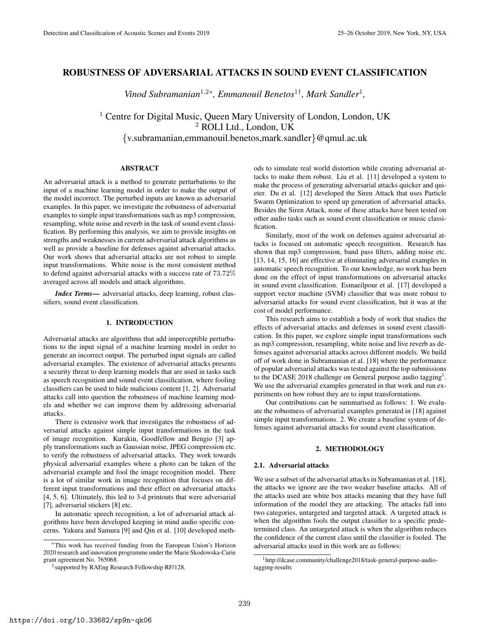# ROBUSTNESS OF ADVERSARIAL ATTACKS IN SOUND EVENT CLASSIFICATION

*Vinod Subramanian*<sup>1,2\*</sup>, *Emmanouil Benetos*<sup>1†</sup>, *Mark Sandler*<sup>1</sup>,

<sup>1</sup> Centre for Digital Music, Queen Mary University of London, London, UK <sup>2</sup> ROLI Ltd., London, UK {v.subramanian,emmanouil.benetos,mark.sandler}@qmul.ac.uk

#### ABSTRACT

An adversarial attack is a method to generate perturbations to the input of a machine learning model in order to make the output of the model incorrect. The perturbed inputs are known as adversarial examples. In this paper, we investigate the robustness of adversarial examples to simple input transformations such as mp3 compression, resampling, white noise and reverb in the task of sound event classification. By performing this analysis, we aim to provide insights on strengths and weaknesses in current adversarial attack algorithms as well as provide a baseline for defenses against adversarial attacks. Our work shows that adversarial attacks are not robust to simple input transformations. White noise is the most consistent method to defend against adversarial attacks with a success rate of 73.72% averaged across all models and attack algorithms.

*Index Terms*— adversarial attacks, deep learning, robust classifiers, sound event classification.

# 1. INTRODUCTION

Adversarial attacks are algorithms that add imperceptible perturbations to the input signal of a machine learning model in order to generate an incorrect output. The perturbed input signals are called adversarial examples. The existence of adversarial attacks presents a security threat to deep learning models that are used in tasks such as speech recognition and sound event classification, where fooling classifiers can be used to hide malicious content [1, 2]. Adversarial attacks call into question the robustness of machine learning models and whether we can improve them by addressing adversarial attacks.

There is extensive work that investigates the robustness of adversarial attacks against simple input transformations in the task of image recognition. Kurakin, Goodfellow and Bengio [3] apply transformations such as Gaussian noise, JPEG compression etc. to verify the robustness of adversarial attacks. They work towards physical adversarial examples where a photo can be taken of the adversarial example and fool the image recognition model. There is a lot of similar work in image recognition that focuses on different input transformations and their effect on adversarial attacks [4, 5, 6]. Ultimately, this led to 3-d printouts that were adversarial [7], adversarial stickers [8] etc.

In automatic speech recognition, a lot of adversarial attack algorithms have been developed keeping in mind audio specific concerns. Yakura and Samura [9] and Qin et al. [10] developed meth-

ods to simulate real world distortion while creating adversarial attacks to make them robust. Liu et al. [11] developed a system to make the process of generating adversarial attacks quicker and quieter. Du et al. [12] developed the Siren Attack that uses Particle Swarm Optimization to speed up generation of adversarial attacks. Besides the Siren Attack, none of these attacks have been tested on other audio tasks such as sound event classification or music classification.

Similarly, most of the work on defenses against adversarial attacks is focused on automatic speech recognition. Research has shown that mp3 compression, band pass filters, adding noise etc. [13, 14, 15, 16] are effective at eliminating adversarial examples in automatic speech recognition. To our knowledge, no work has been done on the effect of input transformations on adversarial attacks in sound event classification. Esmaeilpour et al. [17] developed a support vector machine (SVM) classifier that was more robust to adversarial attacks for sound event classification, but it was at the cost of model performance.

This research aims to establish a body of work that studies the effects of adversarial attacks and defenses in sound event classification. In this paper, we explore simple input transformations such as mp3 compression, resampling, white noise and live reverb as defenses against adversarial attacks across different models. We build off of work done in Subramanian et al. [18] where the performance of popular adversarial attacks was tested against the top submissions to the DCASE 2018 challenge on General purpose audio tagging<sup>1</sup>. We use the adversarial examples generated in that work and run experiments on how robust they are to input transformations.

Our contributions can be summarised as follows: 1. We evaluate the robustness of adversarial examples generated in [18] against simple input transformations. 2. We create a baseline system of defenses against adversarial attacks for sound event classification.

#### 2. METHODOLOGY

# 2.1. Adversarial attacks

We use a subset of the adversarial attacks in Subramanian et al. [18], the attacks we ignore are the two weaker baseline attacks. All of the attacks used are white box attacks meaning that they have full information of the model they are attacking. The attacks fall into two categories, untargeted and targeted attack. A targeted attack is when the algorithm fools the output classifier to a specific predetermined class. An untargeted attack is when the algorithm reduces the confidence of the current class until the classifier is fooled. The adversarial attacks used in this work are as follows:

<sup>∗</sup>This work has received funding from the European Union's Horizon 2020 research and innovation programme under the Marie Skodowska-Curie grant agreement No. 765068.

<sup>†</sup> supported by RAEng Research Fellowship RF/128.

<sup>&</sup>lt;sup>1</sup>http://dcase.community/challenge2018/task-general-purpose-audiotagging-results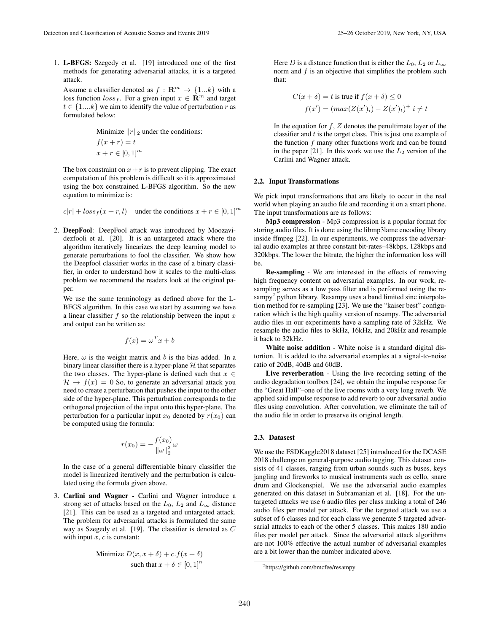1. L-BFGS: Szegedy et al. [19] introduced one of the first methods for generating adversarial attacks, it is a targeted attack.

Assume a classifier denoted as  $f : \mathbb{R}^m \to \{1...k\}$  with a loss function  $loss_f$ . For a given input  $x \in \mathbb{R}^m$  and target  $t \in \{1,...k\}$  we aim to identify the value of perturbation r as formulated below:

Minimize 
$$
||r||_2
$$
 under the conditions:  
\n $f(x+r) = t$   
\n $x + r \in [0, 1]^m$ 

The box constraint on  $x+r$  is to prevent clipping. The exact computation of this problem is difficult so it is approximated using the box constrained L-BFGS algorithm. So the new equation to minimize is:

$$
c|r| + loss_f(x + r, l) \quad under the conditions \, x + r \in [0, 1]^r
$$

2. DeepFool: DeepFool attack was introduced by Moozavidezfooli et al. [20]. It is an untargeted attack where the algorithm iteratively linearizes the deep learning model to generate perturbations to fool the classifier. We show how the Deepfool classifier works in the case of a binary classifier, in order to understand how it scales to the multi-class problem we recommend the readers look at the original paper.

We use the same terminology as defined above for the L-BFGS algorithm. In this case we start by assuming we have a linear classifier  $f$  so the relationship between the input  $x$ and output can be written as:

$$
f(x) = \omega^T x + b
$$

Here,  $\omega$  is the weight matrix and b is the bias added. In a binary linear classifier there is a hyper-plane  $H$  that separates the two classes. The hyper-plane is defined such that  $x \in$  $H \rightarrow f(x) = 0$  So, to generate an adversarial attack you need to create a perturbation that pushes the input to the other side of the hyper-plane. This perturbation corresponds to the orthogonal projection of the input onto this hyper-plane. The perturbation for a particular input  $x_0$  denoted by  $r(x_0)$  can be computed using the formula:

$$
r(x_0) = -\frac{f(x_0)}{\|\omega\|_2^2}\omega
$$

In the case of a general differentiable binary classifier the model is linearized iteratively and the perturbation is calculated using the formula given above.

3. Carlini and Wagner - Carlini and Wagner introduce a strong set of attacks based on the  $L_0$ ,  $L_2$  and  $L_{\infty}$  distance [21]. This can be used as a targeted and untargeted attack. The problem for adversarial attacks is formulated the same way as Szegedy et al. [19]. The classifier is denoted as C with input  $x$ ,  $c$  is constant:

Minimize 
$$
D(x, x + \delta) + c.f(x + \delta)
$$
  
such that  $x + \delta \in [0, 1]^n$ 

Here D is a distance function that is either the  $L_0$ ,  $L_2$  or  $L_{\infty}$ norm and  $f$  is an objective that simplifies the problem such that:

$$
C(x + \delta) = t \text{ is true if } f(x + \delta) \le 0
$$
  

$$
f(x') = (\max(Z(x')_i) - Z(x')_t)^+ i \ne t
$$

In the equation for  $f$ ,  $Z$  denotes the penultimate layer of the classifier and  $t$  is the target class. This is just one example of the function  $f$  many other functions work and can be found in the paper [21]. In this work we use the  $L_2$  version of the Carlini and Wagner attack.

#### 2.2. Input Transformations

We pick input transformations that are likely to occur in the real world when playing an audio file and recording it on a smart phone. The input transformations are as follows:

Mp3 compression - Mp3 compression is a popular format for storing audio files. It is done using the libmp3lame encoding library inside ffmpeg [22]. In our experiments, we compress the adversarial audio examples at three constant bit-rates–48kbps, 128kbps and 320kbps. The lower the bitrate, the higher the information loss will be.

Re-sampling - We are interested in the effects of removing high frequency content on adversarial examples. In our work, resampling serves as a low pass filter and is performed using the resampy<sup>2</sup> python library. Resampy uses a band limited sinc interpolation method for re-sampling [23]. We use the "kaiser best" configuration which is the high quality version of resampy. The adversarial audio files in our experiments have a sampling rate of 32kHz. We resample the audio files to 8kHz, 16kHz, and 20kHz and resample it back to 32kHz.

White noise addition - White noise is a standard digital distortion. It is added to the adversarial examples at a signal-to-noise ratio of 20dB, 40dB and 60dB.

Live reverberation - Using the live recording setting of the audio degradation toolbox [24], we obtain the impulse response for the "Great Hall"–one of the live rooms with a very long reverb. We applied said impulse response to add reverb to our adversarial audio files using convolution. After convolution, we eliminate the tail of the audio file in order to preserve its original length.

#### 2.3. Datasest

We use the FSDKaggle2018 dataset [25] introduced for the DCASE 2018 challenge on general-purpose audio tagging. This dataset consists of 41 classes, ranging from urban sounds such as buses, keys jangling and fireworks to musical instruments such as cello, snare drum and Glockenspiel. We use the adversarial audio examples generated on this dataset in Subramanian et al. [18]. For the untargeted attacks we use 6 audio files per class making a total of 246 audio files per model per attack. For the targeted attack we use a subset of 6 classes and for each class we generate 5 targeted adversarial attacks to each of the other 5 classes. This makes 180 audio files per model per attack. Since the adversarial attack algorithms are not 100% effective the actual number of adversarial examples are a bit lower than the number indicated above.

<sup>2</sup>https://github.com/bmcfee/resampy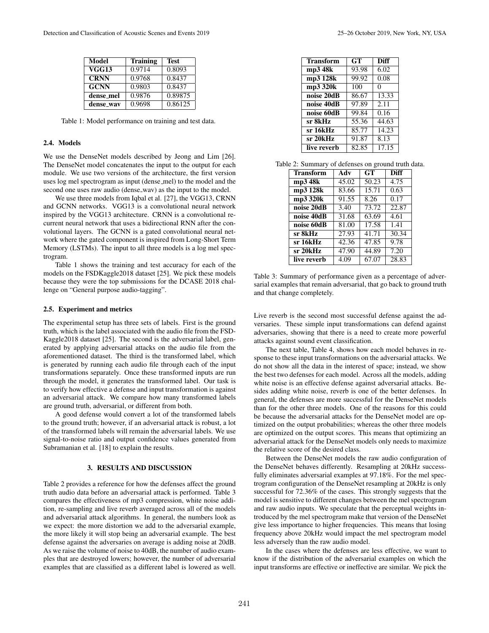| Model        | <b>Training</b> | <b>Test</b> |
|--------------|-----------------|-------------|
| <b>VGG13</b> | 0.9714          | 0.8093      |
| <b>CRNN</b>  | 0.9768          | 0.8437      |
| <b>GCNN</b>  | 0.9803          | 0.8437      |
| dense_mel    | 0.9876          | 0.89875     |
| dense_wav    | 0.9698          | 0.86125     |

Table 1: Model performance on training and test data.

## 2.4. Models

We use the DenseNet models described by Jeong and Lim [26]. The DenseNet model concatenates the input to the output for each module. We use two versions of the architecture, the first version uses log mel spectrogram as input (dense mel) to the model and the second one uses raw audio (dense\_wav) as the input to the model.

We use three models from Iqbal et al. [27], the VGG13, CRNN and GCNN networks. VGG13 is a convolutional neural network inspired by the VGG13 architecture. CRNN is a convolutional recurrent neural network that uses a bidirectional RNN after the convolutional layers. The GCNN is a gated convolutional neural network where the gated component is inspired from Long-Short Term Memory (LSTMs). The input to all three models is a log mel spectrogram.

Table 1 shows the training and test accuracy for each of the models on the FSDKaggle2018 dataset [25]. We pick these models because they were the top submissions for the DCASE 2018 challenge on "General purpose audio-tagging".

#### 2.5. Experiment and metrics

The experimental setup has three sets of labels. First is the ground truth, which is the label associated with the audio file from the FSD-Kaggle2018 dataset [25]. The second is the adversarial label, generated by applying adversarial attacks on the audio file from the aforementioned dataset. The third is the transformed label, which is generated by running each audio file through each of the input transformations separately. Once these transformed inputs are run through the model, it generates the transformed label. Our task is to verify how effective a defense and input transformation is against an adversarial attack. We compare how many transformed labels are ground truth, adversarial, or different from both.

A good defense would convert a lot of the transformed labels to the ground truth; however, if an adversarial attack is robust, a lot of the transformed labels will remain the adversarial labels. We use signal-to-noise ratio and output confidence values generated from Subramanian et al. [18] to explain the results.

#### 3. RESULTS AND DISCUSSION

Table 2 provides a reference for how the defenses affect the ground truth audio data before an adversarial attack is performed. Table 3 compares the effectiveness of mp3 compression, white noise addition, re-sampling and live reverb averaged across all of the models and adversarial attack algorithms. In general, the numbers look as we expect: the more distortion we add to the adversarial example, the more likely it will stop being an adversarial example. The best defense against the adversaries on average is adding noise at 20dB. As we raise the volume of noise to 40dB, the number of audio examples that are destroyed lowers; however, the number of adversarial examples that are classified as a different label is lowered as well.

| <b>Transform</b> | GT    | Diff  |
|------------------|-------|-------|
| mp3 48k          | 93.98 | 6.02  |
| mp3 128k         | 99.92 | 0.08  |
| mp3 320k         | 100   | 0     |
| noise 20dB       | 86.67 | 13.33 |
| noise 40dB       | 97.89 | 2.11  |
| noise 60dB       | 99.84 | 0.16  |
| sr 8kHz          | 55.36 | 44.63 |
| sr 16kHz         | 85.77 | 14.23 |
| sr 20kHz         | 91.87 | 8.13  |
| live reverb      | 82.85 | 17.15 |

| Table 2: Summary of defenses on ground truth data. |  |  |  |  |
|----------------------------------------------------|--|--|--|--|
|----------------------------------------------------|--|--|--|--|

| <b>Transform</b> | Adv   | GT    | <b>Diff</b> |
|------------------|-------|-------|-------------|
| mp3 48k          | 45.02 | 50.23 | 4.75        |
| mp3 128k         | 83.66 | 15.71 | 0.63        |
| mp3 320k         | 91.55 | 8.26  | 0.17        |
| noise 20dB       | 3.40  | 73.72 | 22.87       |
| noise 40dB       | 31.68 | 63.69 | 4.61        |
| noise 60dB       | 81.00 | 17.58 | 1.41        |
| sr 8kHz          | 27.93 | 41.71 | 30.34       |
| sr 16kHz         | 42.36 | 47.85 | 9.78        |
| sr 20kHz         | 47.90 | 44.89 | 7.20        |
| live reverb      | 4.09  | 67.07 | 28.83       |

Table 3: Summary of performance given as a percentage of adversarial examples that remain adversarial, that go back to ground truth and that change completely.

Live reverb is the second most successful defense against the adversaries. These simple input transformations can defend against adversaries, showing that there is a need to create more powerful attacks against sound event classification.

The next table, Table 4, shows how each model behaves in response to these input transformations on the adversarial attacks. We do not show all the data in the interest of space; instead, we show the best two defenses for each model. Across all the models, adding white noise is an effective defense against adversarial attacks. Besides adding white noise, reverb is one of the better defenses. In general, the defenses are more successful for the DenseNet models than for the other three models. One of the reasons for this could be because the adversarial attacks for the DenseNet model are optimized on the output probabilities; whereas the other three models are optimized on the output scores. This means that optimizing an adversarial attack for the DenseNet models only needs to maximize the relative score of the desired class.

Between the DenseNet models the raw audio configuration of the DenseNet behaves differently. Resampling at 20kHz successfully eliminates adversarial examples at 97.18%. For the mel spectrogram configuration of the DenseNet resampling at 20kHz is only successful for 72.36% of the cases. This strongly suggests that the model is sensitive to different changes between the mel spectrogram and raw audio inputs. We speculate that the perceptual weights introduced by the mel spectrogram make that version of the DenseNet give less importance to higher frequencies. This means that losing frequency above 20kHz would impact the mel spectrogram model less adversely than the raw audio model.

In the cases where the defenses are less effective, we want to know if the distribution of the adversarial examples on which the input transforms are effective or ineffective are similar. We pick the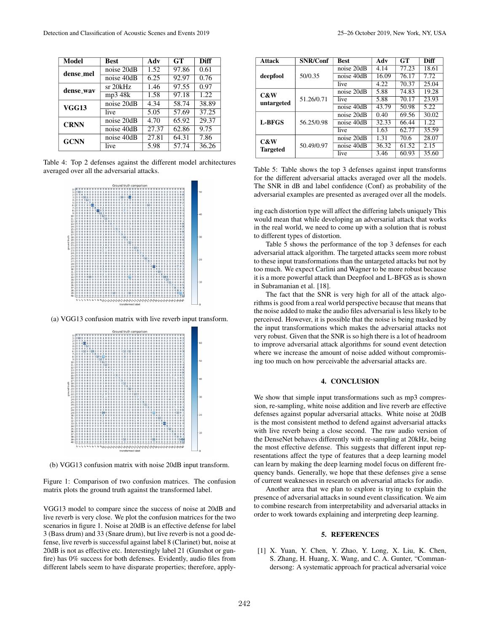| Model        | <b>Best</b> | Adv   | <b>GT</b> | <b>Diff</b> |
|--------------|-------------|-------|-----------|-------------|
| dense_mel    | noise 20dB  | 1.52  | 97.86     | 0.61        |
|              | noise 40dB  | 6.25  | 92.97     | 0.76        |
| dense_way    | sr 20kHz    | 1.46  | 97.55     | 0.97        |
|              | mp3 48k     | 1.58  | 97.18     | 1.22        |
| <b>VGG13</b> | noise 20dB  | 4.34  | 58.74     | 38.89       |
|              | live        | 5.05  | 57.69     | 37.25       |
| <b>CRNN</b>  | noise 20dB  | 4.70  | 65.92     | 29.37       |
|              | noise 40dB  | 27.37 | 62.86     | 9.75        |
| <b>GCNN</b>  | noise 40dB  | 27.81 | 64.31     | 7.86        |
|              | live        | 5.98  | 57.74     | 36.26       |

Table 4: Top 2 defenses against the different model architectures averaged over all the adversarial attacks.



(a) VGG13 confusion matrix with live reverb input transform.



(b) VGG13 confusion matrix with noise 20dB input transform.

Figure 1: Comparison of two confusion matrices. The confusion matrix plots the ground truth against the transformed label.

VGG13 model to compare since the success of noise at 20dB and live reverb is very close. We plot the confusion matrices for the two scenarios in figure 1. Noise at 20dB is an effective defense for label 3 (Bass drum) and 33 (Snare drum), but live reverb is not a good defense, live reverb is successful against label 8 (Clarinet) but, noise at 20dB is not as effective etc. Interestingly label 21 (Gunshot or gunfire) has 0% success for both defenses. Evidently, audio files from different labels seem to have disparate properties; therefore, apply-

| <b>Attack</b>          | <b>SNR/Conf</b> | <b>Best</b>   | Adv   | GT    | <b>Diff</b> |
|------------------------|-----------------|---------------|-------|-------|-------------|
| deepfool               | 50/0.35         | noise 20dB    | 4.14  | 77.23 | 18.61       |
|                        |                 | noise 40dB    | 16.09 | 76.17 | 7.72        |
|                        |                 | live          | 4.22  | 70.37 | 25.04       |
| C&W<br>untargeted      | 51.26/0.71      | noise 20dB    | 5.88  | 74.83 | 19.28       |
|                        |                 | live          | 5.88  | 70.17 | 23.93       |
|                        |                 | $noise\ 40dB$ | 43.79 | 50.98 | 5.22        |
| L-BFGS                 | 56.25/0.98      | noise 20dB    | 0.40  | 69.56 | 30.02       |
|                        |                 | $noise\ 40dB$ | 32.33 | 66.44 | 1.22.       |
|                        |                 | live          | 1.63  | 62.77 | 35.59       |
| C&W<br><b>Targeted</b> | 50.49/0.97      | noise 20dB    | 1.31  | 70.6  | 28.07       |
|                        |                 | noise 40dB    | 36.32 | 61.52 | 2.15        |
|                        |                 | live          | 3.46  | 60.93 | 35.60       |

Table 5: Table shows the top 3 defenses against input transforms for the different adversarial attacks averaged over all the models. The SNR in dB and label confidence (Conf) as probability of the adversarial examples are presented as averaged over all the models.

ing each distortion type will affect the differing labels uniquely This would mean that while developing an adversarial attack that works in the real world, we need to come up with a solution that is robust to different types of distortion.

Table 5 shows the performance of the top 3 defenses for each adversarial attack algorithm. The targeted attacks seem more robust to these input transformations than the untargeted attacks but not by too much. We expect Carlini and Wagner to be more robust because it is a more powerful attack than Deepfool and L-BFGS as is shown in Subramanian et al. [18].

The fact that the SNR is very high for all of the attack algorithms is good from a real world perspective because that means that the noise added to make the audio files adversarial is less likely to be perceived. However, it is possible that the noise is being masked by the input transformations which makes the adversarial attacks not very robust. Given that the SNR is so high there is a lot of headroom to improve adversarial attack algorithms for sound event detection where we increase the amount of noise added without compromising too much on how perceivable the adversarial attacks are.

# 4. CONCLUSION

We show that simple input transformations such as mp3 compression, re-sampling, white noise addition and live reverb are effective defenses against popular adversarial attacks. White noise at 20dB is the most consistent method to defend against adversarial attacks with live reverb being a close second. The raw audio version of the DenseNet behaves differently with re-sampling at 20kHz, being the most effective defense. This suggests that different input representations affect the type of features that a deep learning model can learn by making the deep learning model focus on different frequency bands. Generally, we hope that these defenses give a sense of current weaknesses in research on adversarial attacks for audio.

Another area that we plan to explore is trying to explain the presence of adversarial attacks in sound event classification. We aim to combine research from interpretability and adversarial attacks in order to work towards explaining and interpreting deep learning.

## 5. REFERENCES

[1] X. Yuan, Y. Chen, Y. Zhao, Y. Long, X. Liu, K. Chen, S. Zhang, H. Huang, X. Wang, and C. A. Gunter, "Commandersong: A systematic approach for practical adversarial voice